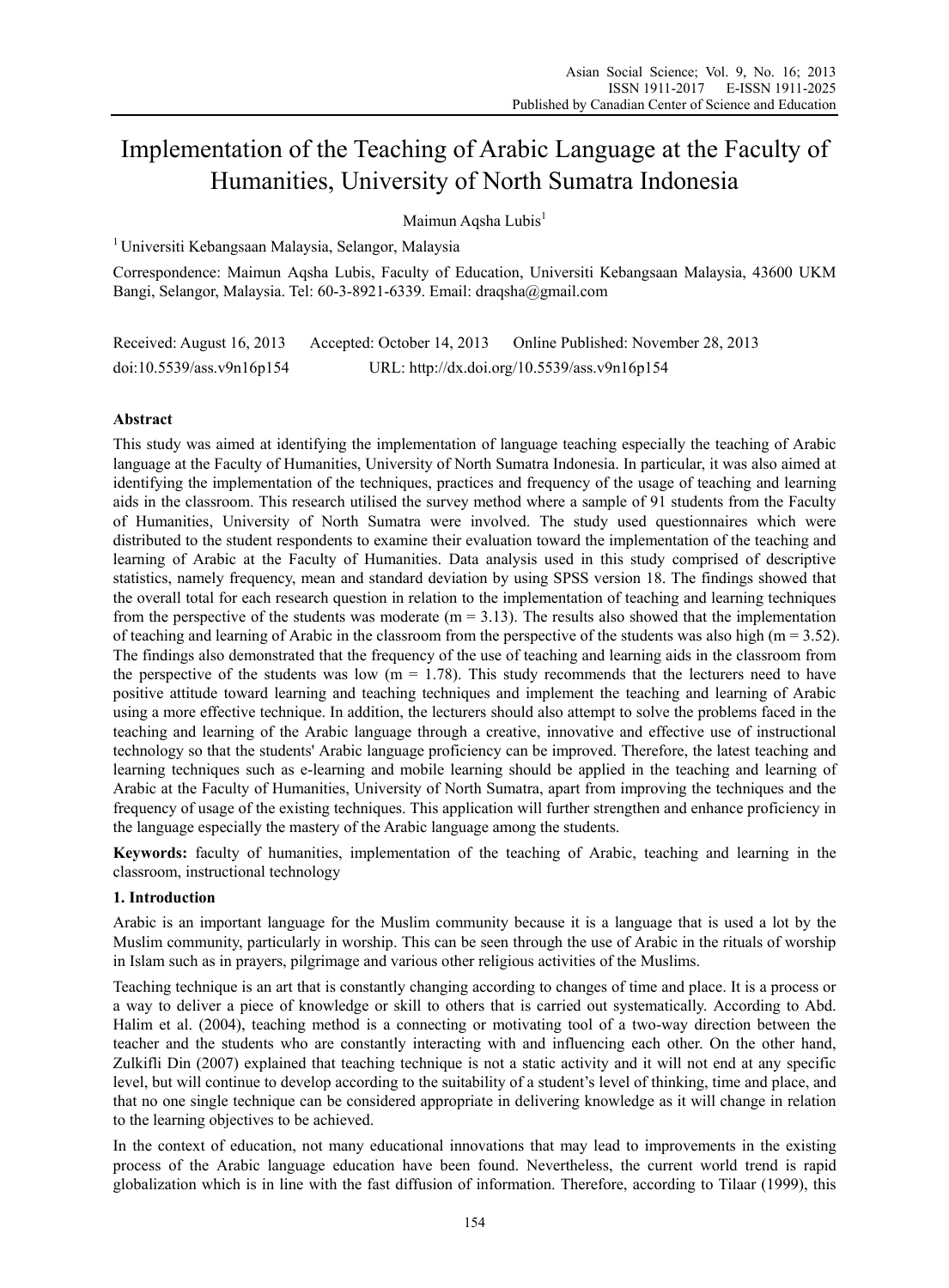# Implementation of the Teaching of Arabic Language at the Faculty of Humanities, University of North Sumatra Indonesia

Maimun Aqsha Lubis<sup>1</sup>

1 Universiti Kebangsaan Malaysia, Selangor, Malaysia

Correspondence: Maimun Aqsha Lubis, Faculty of Education, Universiti Kebangsaan Malaysia, 43600 UKM Bangi, Selangor, Malaysia. Tel: 60-3-8921-6339. Email: draqsha@gmail.com

Received: August 16, 2013 Accepted: October 14, 2013 Online Published: November 28, 2013 doi:10.5539/ass.v9n16p154 URL: http://dx.doi.org/10.5539/ass.v9n16p154

# **Abstract**

This study was aimed at identifying the implementation of language teaching especially the teaching of Arabic language at the Faculty of Humanities, University of North Sumatra Indonesia. In particular, it was also aimed at identifying the implementation of the techniques, practices and frequency of the usage of teaching and learning aids in the classroom. This research utilised the survey method where a sample of 91 students from the Faculty of Humanities, University of North Sumatra were involved. The study used questionnaires which were distributed to the student respondents to examine their evaluation toward the implementation of the teaching and learning of Arabic at the Faculty of Humanities. Data analysis used in this study comprised of descriptive statistics, namely frequency, mean and standard deviation by using SPSS version 18. The findings showed that the overall total for each research question in relation to the implementation of teaching and learning techniques from the perspective of the students was moderate ( $m = 3.13$ ). The results also showed that the implementation of teaching and learning of Arabic in the classroom from the perspective of the students was also high ( $m = 3.52$ ). The findings also demonstrated that the frequency of the use of teaching and learning aids in the classroom from the perspective of the students was low ( $m = 1.78$ ). This study recommends that the lecturers need to have positive attitude toward learning and teaching techniques and implement the teaching and learning of Arabic using a more effective technique. In addition, the lecturers should also attempt to solve the problems faced in the teaching and learning of the Arabic language through a creative, innovative and effective use of instructional technology so that the students' Arabic language proficiency can be improved. Therefore, the latest teaching and learning techniques such as e-learning and mobile learning should be applied in the teaching and learning of Arabic at the Faculty of Humanities, University of North Sumatra, apart from improving the techniques and the frequency of usage of the existing techniques. This application will further strengthen and enhance proficiency in the language especially the mastery of the Arabic language among the students.

**Keywords:** faculty of humanities, implementation of the teaching of Arabic, teaching and learning in the classroom, instructional technology

## **1. Introduction**

Arabic is an important language for the Muslim community because it is a language that is used a lot by the Muslim community, particularly in worship. This can be seen through the use of Arabic in the rituals of worship in Islam such as in prayers, pilgrimage and various other religious activities of the Muslims.

Teaching technique is an art that is constantly changing according to changes of time and place. It is a process or a way to deliver a piece of knowledge or skill to others that is carried out systematically. According to Abd. Halim et al. (2004), teaching method is a connecting or motivating tool of a two-way direction between the teacher and the students who are constantly interacting with and influencing each other. On the other hand, Zulkifli Din (2007) explained that teaching technique is not a static activity and it will not end at any specific level, but will continue to develop according to the suitability of a student's level of thinking, time and place, and that no one single technique can be considered appropriate in delivering knowledge as it will change in relation to the learning objectives to be achieved.

In the context of education, not many educational innovations that may lead to improvements in the existing process of the Arabic language education have been found. Nevertheless, the current world trend is rapid globalization which is in line with the fast diffusion of information. Therefore, according to Tilaar (1999), this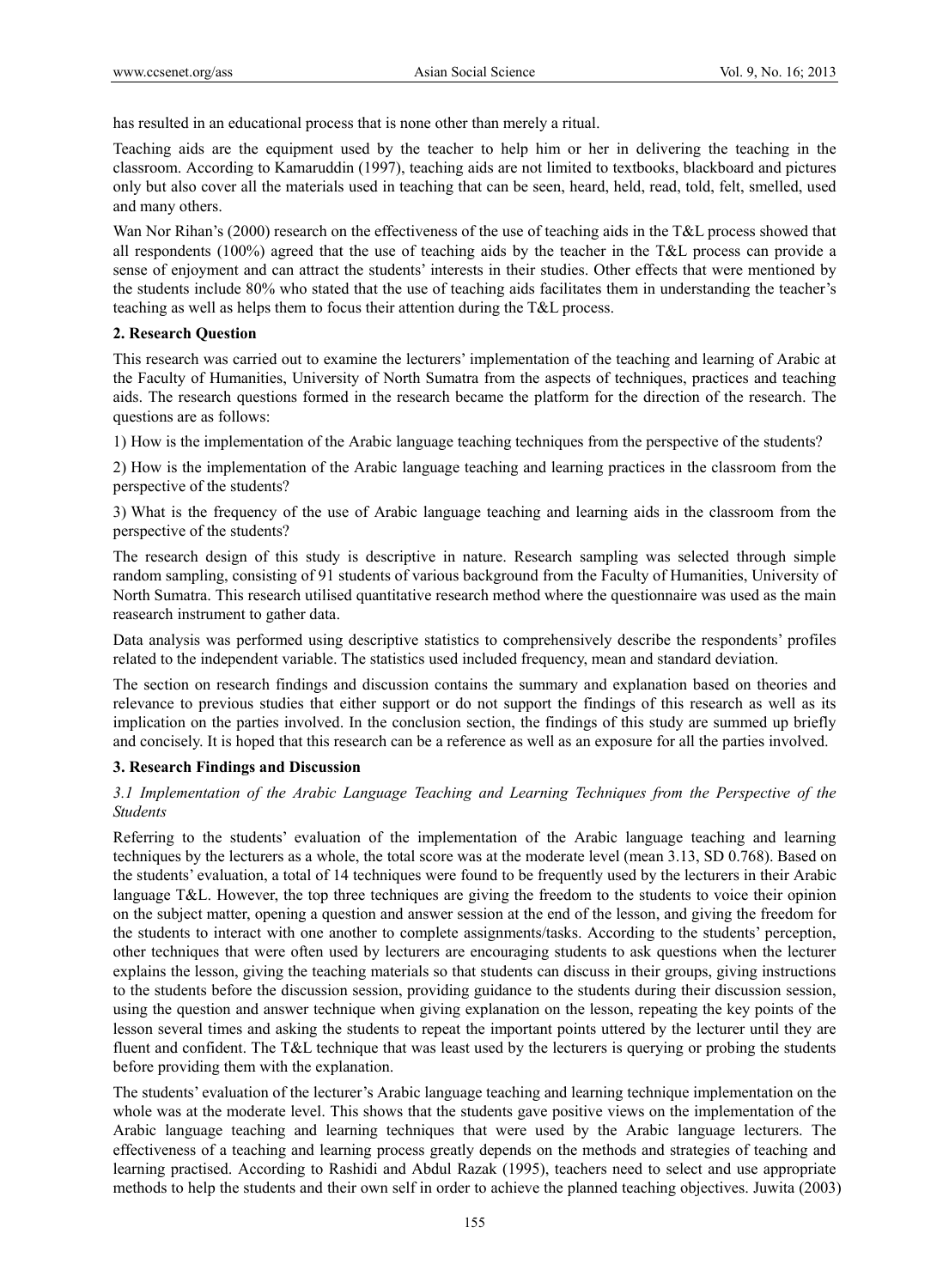has resulted in an educational process that is none other than merely a ritual.

Teaching aids are the equipment used by the teacher to help him or her in delivering the teaching in the classroom. According to Kamaruddin (1997), teaching aids are not limited to textbooks, blackboard and pictures only but also cover all the materials used in teaching that can be seen, heard, held, read, told, felt, smelled, used and many others.

Wan Nor Rihan's (2000) research on the effectiveness of the use of teaching aids in the T&L process showed that all respondents (100%) agreed that the use of teaching aids by the teacher in the T&L process can provide a sense of enjoyment and can attract the students' interests in their studies. Other effects that were mentioned by the students include 80% who stated that the use of teaching aids facilitates them in understanding the teacher's teaching as well as helps them to focus their attention during the T&L process.

## **2. Research Question**

This research was carried out to examine the lecturers' implementation of the teaching and learning of Arabic at the Faculty of Humanities, University of North Sumatra from the aspects of techniques, practices and teaching aids. The research questions formed in the research became the platform for the direction of the research. The questions are as follows:

1) How is the implementation of the Arabic language teaching techniques from the perspective of the students?

2) How is the implementation of the Arabic language teaching and learning practices in the classroom from the perspective of the students?

3) What is the frequency of the use of Arabic language teaching and learning aids in the classroom from the perspective of the students?

The research design of this study is descriptive in nature. Research sampling was selected through simple random sampling, consisting of 91 students of various background from the Faculty of Humanities, University of North Sumatra. This research utilised quantitative research method where the questionnaire was used as the main reasearch instrument to gather data.

Data analysis was performed using descriptive statistics to comprehensively describe the respondents' profiles related to the independent variable. The statistics used included frequency, mean and standard deviation.

The section on research findings and discussion contains the summary and explanation based on theories and relevance to previous studies that either support or do not support the findings of this research as well as its implication on the parties involved. In the conclusion section, the findings of this study are summed up briefly and concisely. It is hoped that this research can be a reference as well as an exposure for all the parties involved.

#### **3. Research Findings and Discussion**

# *3.1 Implementation of the Arabic Language Teaching and Learning Techniques from the Perspective of the Students*

Referring to the students' evaluation of the implementation of the Arabic language teaching and learning techniques by the lecturers as a whole, the total score was at the moderate level (mean 3.13, SD 0.768). Based on the students' evaluation, a total of 14 techniques were found to be frequently used by the lecturers in their Arabic language T&L. However, the top three techniques are giving the freedom to the students to voice their opinion on the subject matter, opening a question and answer session at the end of the lesson, and giving the freedom for the students to interact with one another to complete assignments/tasks. According to the students' perception, other techniques that were often used by lecturers are encouraging students to ask questions when the lecturer explains the lesson, giving the teaching materials so that students can discuss in their groups, giving instructions to the students before the discussion session, providing guidance to the students during their discussion session, using the question and answer technique when giving explanation on the lesson, repeating the key points of the lesson several times and asking the students to repeat the important points uttered by the lecturer until they are fluent and confident. The T&L technique that was least used by the lecturers is querying or probing the students before providing them with the explanation.

The students' evaluation of the lecturer's Arabic language teaching and learning technique implementation on the whole was at the moderate level. This shows that the students gave positive views on the implementation of the Arabic language teaching and learning techniques that were used by the Arabic language lecturers. The effectiveness of a teaching and learning process greatly depends on the methods and strategies of teaching and learning practised. According to Rashidi and Abdul Razak (1995), teachers need to select and use appropriate methods to help the students and their own self in order to achieve the planned teaching objectives. Juwita (2003)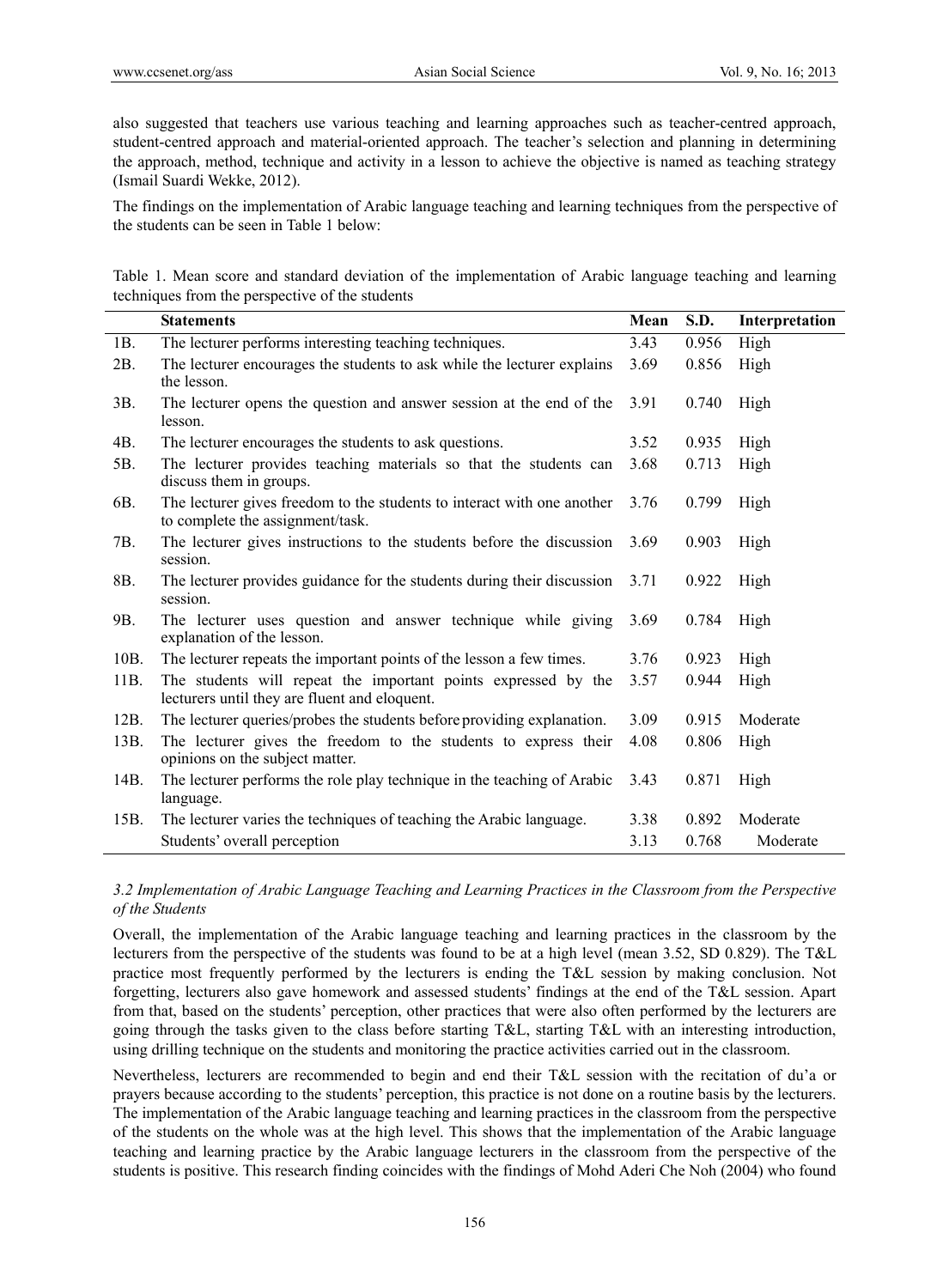also suggested that teachers use various teaching and learning approaches such as teacher-centred approach, student-centred approach and material-oriented approach. The teacher's selection and planning in determining the approach, method, technique and activity in a lesson to achieve the objective is named as teaching strategy (Ismail Suardi Wekke, 2012).

The findings on the implementation of Arabic language teaching and learning techniques from the perspective of the students can be seen in Table 1 below:

Table 1. Mean score and standard deviation of the implementation of Arabic language teaching and learning techniques from the perspective of the students

|                 | <b>Statements</b>                                                                                               | Mean | S.D.  | Interpretation |
|-----------------|-----------------------------------------------------------------------------------------------------------------|------|-------|----------------|
| 1B.             | The lecturer performs interesting teaching techniques.                                                          | 3.43 | 0.956 | High           |
| 2B.             | The lecturer encourages the students to ask while the lecturer explains<br>the lesson.                          | 3.69 | 0.856 | High           |
| 3B.             | The lecturer opens the question and answer session at the end of the<br>lesson.                                 | 3.91 | 0.740 | High           |
| 4B.             | The lecturer encourages the students to ask questions.                                                          | 3.52 | 0.935 | High           |
| 5B.             | The lecturer provides teaching materials so that the students can<br>discuss them in groups.                    | 3.68 | 0.713 | High           |
| 6B.             | The lecturer gives freedom to the students to interact with one another<br>to complete the assignment/task.     | 3.76 | 0.799 | High           |
| 7B.             | The lecturer gives instructions to the students before the discussion<br>session.                               | 3.69 | 0.903 | High           |
| 8B.             | The lecturer provides guidance for the students during their discussion<br>session.                             | 3.71 | 0.922 | High           |
| 9B.             | The lecturer uses question and answer technique while giving<br>explanation of the lesson.                      | 3.69 | 0.784 | High           |
| 10 <sub>B</sub> | The lecturer repeats the important points of the lesson a few times.                                            | 3.76 | 0.923 | High           |
| 11B.            | The students will repeat the important points expressed by the<br>lecturers until they are fluent and eloquent. | 3.57 | 0.944 | High           |
| 12B.            | The lecturer queries/probes the students before providing explanation.                                          | 3.09 | 0.915 | Moderate       |
| 13B.            | The lecturer gives the freedom to the students to express their<br>opinions on the subject matter.              | 4.08 | 0.806 | High           |
| 14B.            | The lecturer performs the role play technique in the teaching of Arabic<br>language.                            | 3.43 | 0.871 | High           |
| 15B.            | The lecturer varies the techniques of teaching the Arabic language.                                             | 3.38 | 0.892 | Moderate       |
|                 | Students' overall perception                                                                                    | 3.13 | 0.768 | Moderate       |

# *3.2 Implementation of Arabic Language Teaching and Learning Practices in the Classroom from the Perspective of the Students*

Overall, the implementation of the Arabic language teaching and learning practices in the classroom by the lecturers from the perspective of the students was found to be at a high level (mean 3.52, SD 0.829). The T&L practice most frequently performed by the lecturers is ending the T&L session by making conclusion. Not forgetting, lecturers also gave homework and assessed students' findings at the end of the T&L session. Apart from that, based on the students' perception, other practices that were also often performed by the lecturers are going through the tasks given to the class before starting T&L, starting T&L with an interesting introduction, using drilling technique on the students and monitoring the practice activities carried out in the classroom.

Nevertheless, lecturers are recommended to begin and end their T&L session with the recitation of du'a or prayers because according to the students' perception, this practice is not done on a routine basis by the lecturers. The implementation of the Arabic language teaching and learning practices in the classroom from the perspective of the students on the whole was at the high level. This shows that the implementation of the Arabic language teaching and learning practice by the Arabic language lecturers in the classroom from the perspective of the students is positive. This research finding coincides with the findings of Mohd Aderi Che Noh (2004) who found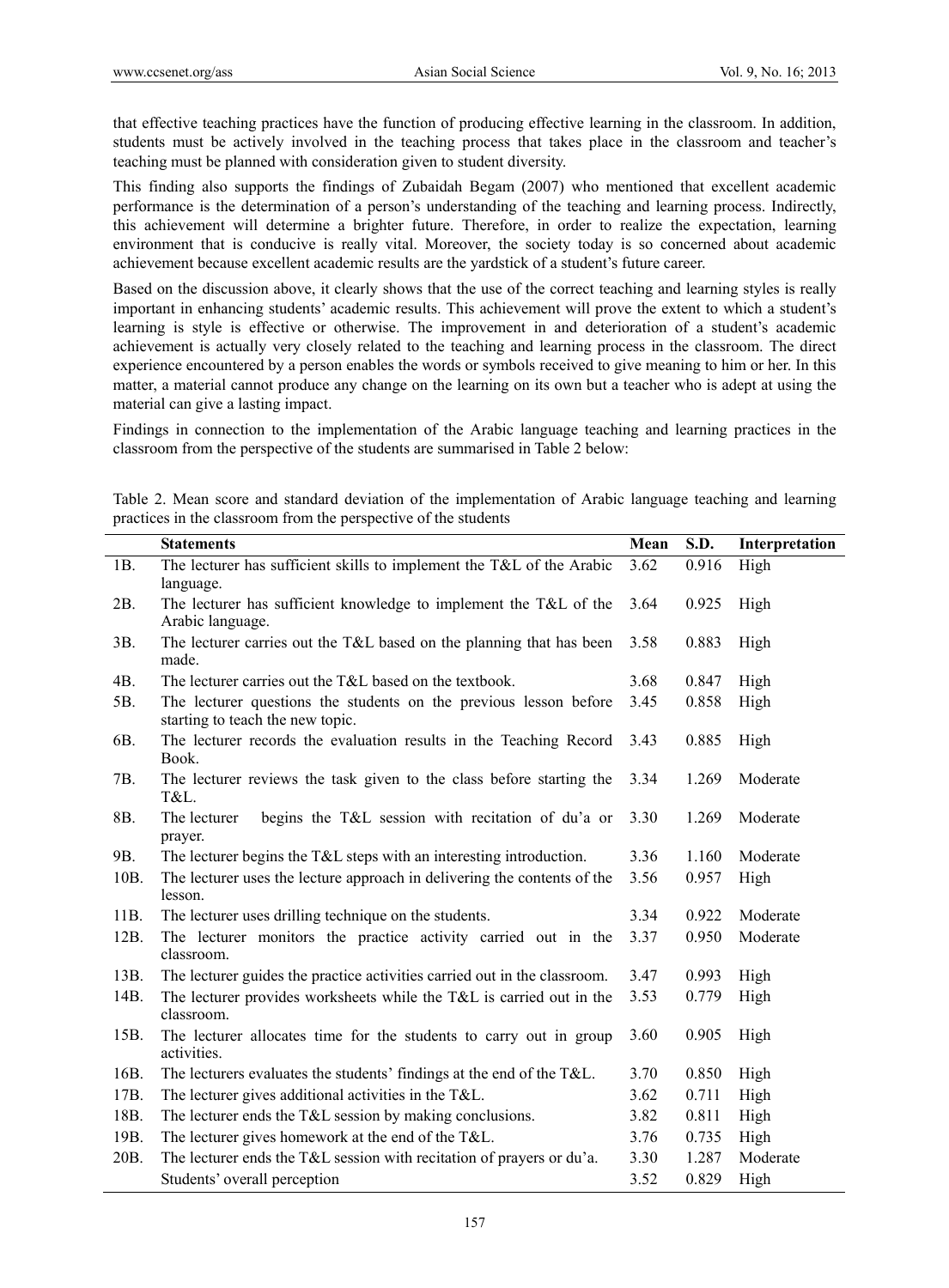that effective teaching practices have the function of producing effective learning in the classroom. In addition, students must be actively involved in the teaching process that takes place in the classroom and teacher's teaching must be planned with consideration given to student diversity.

This finding also supports the findings of Zubaidah Begam (2007) who mentioned that excellent academic performance is the determination of a person's understanding of the teaching and learning process. Indirectly, this achievement will determine a brighter future. Therefore, in order to realize the expectation, learning environment that is conducive is really vital. Moreover, the society today is so concerned about academic achievement because excellent academic results are the yardstick of a student's future career.

Based on the discussion above, it clearly shows that the use of the correct teaching and learning styles is really important in enhancing students' academic results. This achievement will prove the extent to which a student's learning is style is effective or otherwise. The improvement in and deterioration of a student's academic achievement is actually very closely related to the teaching and learning process in the classroom. The direct experience encountered by a person enables the words or symbols received to give meaning to him or her. In this matter, a material cannot produce any change on the learning on its own but a teacher who is adept at using the material can give a lasting impact.

Findings in connection to the implementation of the Arabic language teaching and learning practices in the classroom from the perspective of the students are summarised in Table 2 below:

Table 2. Mean score and standard deviation of the implementation of Arabic language teaching and learning practices in the classroom from the perspective of the students

|      | <b>Statements</b>                                                                                     | Mean | $\overline{\text{S.D.}}$ | Interpretation |
|------|-------------------------------------------------------------------------------------------------------|------|--------------------------|----------------|
| 1B.  | The lecturer has sufficient skills to implement the T&L of the Arabic<br>language.                    | 3.62 | 0.916                    | High           |
| 2B.  | The lecturer has sufficient knowledge to implement the T&L of the<br>Arabic language.                 | 3.64 | 0.925                    | High           |
| 3B.  | The lecturer carries out the T&L based on the planning that has been<br>3.58<br>made.                 |      | 0.883                    | High           |
| 4B.  | The lecturer carries out the T&L based on the textbook.                                               | 3.68 | 0.847                    | High           |
| 5B.  | The lecturer questions the students on the previous lesson before<br>starting to teach the new topic. | 3.45 | 0.858                    | High           |
| 6B.  | The lecturer records the evaluation results in the Teaching Record<br>Book.                           | 3.43 | 0.885                    | High           |
| 7B.  | The lecturer reviews the task given to the class before starting the<br>T&L.                          | 3.34 | 1.269                    | Moderate       |
| 8B.  | begins the T&L session with recitation of du'a or<br>The lecturer<br>prayer.                          | 3.30 | 1.269                    | Moderate       |
| 9B.  | The lecturer begins the T&L steps with an interesting introduction.                                   | 3.36 | 1.160                    | Moderate       |
| 10B. | The lecturer uses the lecture approach in delivering the contents of the<br>lesson.                   | 3.56 | 0.957                    | High           |
| 11B. | The lecturer uses drilling technique on the students.                                                 | 3.34 | 0.922                    | Moderate       |
| 12B. | The lecturer monitors the practice activity carried out in the<br>classroom.                          | 3.37 | 0.950                    | Moderate       |
| 13B. | The lecturer guides the practice activities carried out in the classroom.                             | 3.47 | 0.993                    | High           |
| 14B. | The lecturer provides worksheets while the T&L is carried out in the<br>classroom.                    | 3.53 | 0.779                    | High           |
| 15B. | The lecturer allocates time for the students to carry out in group<br>activities.                     | 3.60 | 0.905                    | High           |
| 16B. | The lecturers evaluates the students' findings at the end of the T&L.                                 | 3.70 | 0.850                    | High           |
| 17B. | The lecturer gives additional activities in the T&L.                                                  | 3.62 | 0.711                    | High           |
| 18B. | The lecturer ends the T&L session by making conclusions.                                              | 3.82 | 0.811                    | High           |
| 19B. | The lecturer gives homework at the end of the T&L.                                                    | 3.76 | 0.735                    | High           |
| 20B. | The lecturer ends the T&L session with recitation of prayers or du'a.                                 | 3.30 | 1.287                    | Moderate       |
|      | Students' overall perception                                                                          | 3.52 | 0.829                    | High           |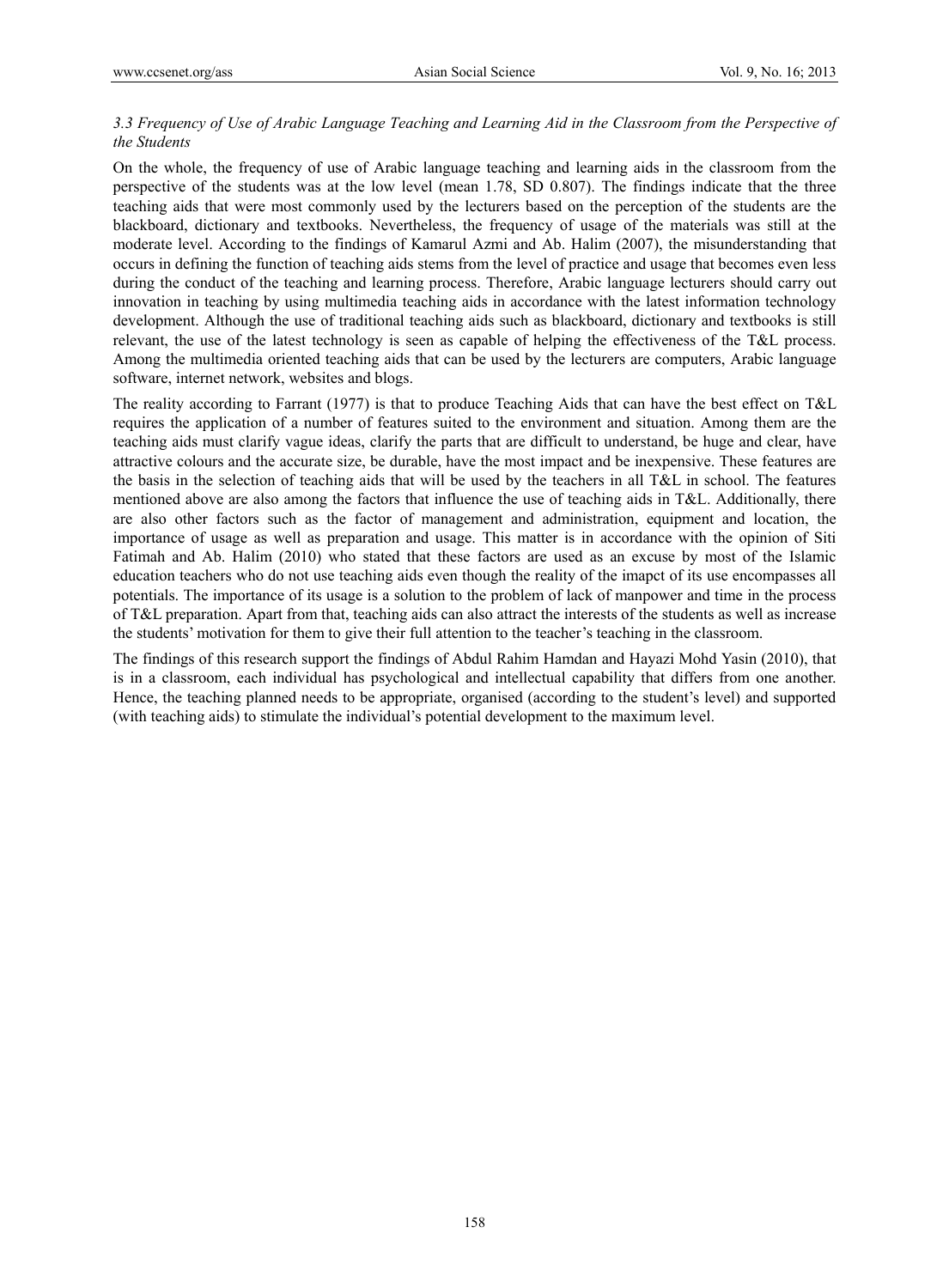# *3.3 Frequency of Use of Arabic Language Teaching and Learning Aid in the Classroom from the Perspective of the Students*

On the whole, the frequency of use of Arabic language teaching and learning aids in the classroom from the perspective of the students was at the low level (mean 1.78, SD 0.807). The findings indicate that the three teaching aids that were most commonly used by the lecturers based on the perception of the students are the blackboard, dictionary and textbooks. Nevertheless, the frequency of usage of the materials was still at the moderate level. According to the findings of Kamarul Azmi and Ab. Halim (2007), the misunderstanding that occurs in defining the function of teaching aids stems from the level of practice and usage that becomes even less during the conduct of the teaching and learning process. Therefore, Arabic language lecturers should carry out innovation in teaching by using multimedia teaching aids in accordance with the latest information technology development. Although the use of traditional teaching aids such as blackboard, dictionary and textbooks is still relevant, the use of the latest technology is seen as capable of helping the effectiveness of the T&L process. Among the multimedia oriented teaching aids that can be used by the lecturers are computers, Arabic language software, internet network, websites and blogs.

The reality according to Farrant (1977) is that to produce Teaching Aids that can have the best effect on T&L requires the application of a number of features suited to the environment and situation. Among them are the teaching aids must clarify vague ideas, clarify the parts that are difficult to understand, be huge and clear, have attractive colours and the accurate size, be durable, have the most impact and be inexpensive. These features are the basis in the selection of teaching aids that will be used by the teachers in all T&L in school. The features mentioned above are also among the factors that influence the use of teaching aids in T&L. Additionally, there are also other factors such as the factor of management and administration, equipment and location, the importance of usage as well as preparation and usage. This matter is in accordance with the opinion of Siti Fatimah and Ab. Halim (2010) who stated that these factors are used as an excuse by most of the Islamic education teachers who do not use teaching aids even though the reality of the imapct of its use encompasses all potentials. The importance of its usage is a solution to the problem of lack of manpower and time in the process of T&L preparation. Apart from that, teaching aids can also attract the interests of the students as well as increase the students' motivation for them to give their full attention to the teacher's teaching in the classroom.

The findings of this research support the findings of Abdul Rahim Hamdan and Hayazi Mohd Yasin (2010), that is in a classroom, each individual has psychological and intellectual capability that differs from one another. Hence, the teaching planned needs to be appropriate, organised (according to the student's level) and supported (with teaching aids) to stimulate the individual's potential development to the maximum level.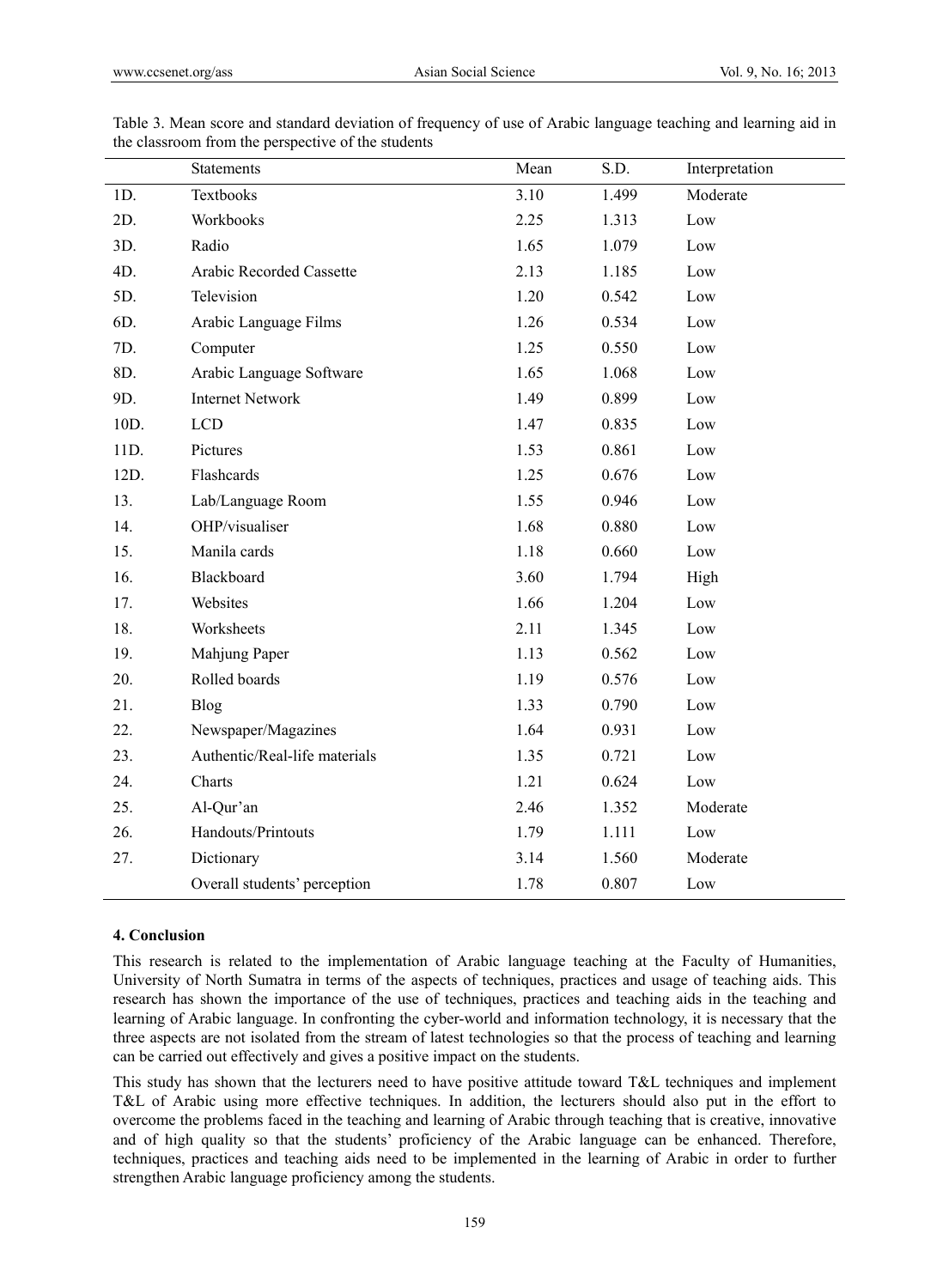|      | Statements                    | Mean | S.D.  | Interpretation |
|------|-------------------------------|------|-------|----------------|
| 1D.  | Textbooks                     | 3.10 | 1.499 | Moderate       |
| 2D.  | Workbooks                     | 2.25 | 1.313 | Low            |
| 3D.  | Radio                         | 1.65 | 1.079 | Low            |
| 4D.  | Arabic Recorded Cassette      | 2.13 | 1.185 | Low            |
| 5D.  | Television                    | 1.20 | 0.542 | Low            |
| 6D.  | Arabic Language Films         | 1.26 | 0.534 | Low            |
| 7D.  | Computer                      | 1.25 | 0.550 | Low            |
| 8D.  | Arabic Language Software      | 1.65 | 1.068 | Low            |
| 9D.  | <b>Internet Network</b>       | 1.49 | 0.899 | Low            |
| 10D. | <b>LCD</b>                    | 1.47 | 0.835 | Low            |
| 11D. | Pictures                      | 1.53 | 0.861 | Low            |
| 12D. | Flashcards                    | 1.25 | 0.676 | Low            |
| 13.  | Lab/Language Room             | 1.55 | 0.946 | Low            |
| 14.  | OHP/visualiser                | 1.68 | 0.880 | Low            |
| 15.  | Manila cards                  | 1.18 | 0.660 | Low            |
| 16.  | Blackboard                    | 3.60 | 1.794 | High           |
| 17.  | Websites                      | 1.66 | 1.204 | Low            |
| 18.  | Worksheets                    | 2.11 | 1.345 | Low            |
| 19.  | Mahjung Paper                 | 1.13 | 0.562 | Low            |
| 20.  | Rolled boards                 | 1.19 | 0.576 | Low            |
| 21.  | <b>Blog</b>                   | 1.33 | 0.790 | Low            |
| 22.  | Newspaper/Magazines           | 1.64 | 0.931 | Low            |
| 23.  | Authentic/Real-life materials | 1.35 | 0.721 | Low            |
| 24.  | Charts                        | 1.21 | 0.624 | Low            |
| 25.  | Al-Qur'an                     | 2.46 | 1.352 | Moderate       |
| 26.  | Handouts/Printouts            | 1.79 | 1.111 | Low            |
| 27.  | Dictionary                    | 3.14 | 1.560 | Moderate       |
|      | Overall students' perception  | 1.78 | 0.807 | Low            |

Table 3. Mean score and standard deviation of frequency of use of Arabic language teaching and learning aid in the classroom from the perspective of the students

#### **4. Conclusion**

This research is related to the implementation of Arabic language teaching at the Faculty of Humanities, University of North Sumatra in terms of the aspects of techniques, practices and usage of teaching aids. This research has shown the importance of the use of techniques, practices and teaching aids in the teaching and learning of Arabic language. In confronting the cyber-world and information technology, it is necessary that the three aspects are not isolated from the stream of latest technologies so that the process of teaching and learning can be carried out effectively and gives a positive impact on the students.

This study has shown that the lecturers need to have positive attitude toward T&L techniques and implement T&L of Arabic using more effective techniques. In addition, the lecturers should also put in the effort to overcome the problems faced in the teaching and learning of Arabic through teaching that is creative, innovative and of high quality so that the students' proficiency of the Arabic language can be enhanced. Therefore, techniques, practices and teaching aids need to be implemented in the learning of Arabic in order to further strengthen Arabic language proficiency among the students.